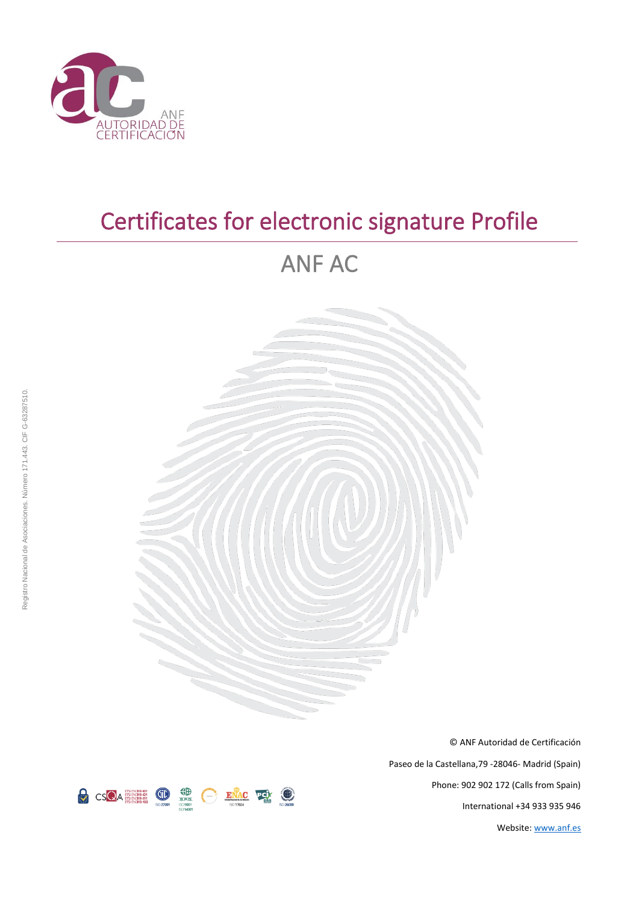

# Certificates for electronic signature Profile

# ANF AC



© ANF Autoridad de Certificación Paseo de la Castellana,79 -28046- Madrid (Spain) Phone: 902 902 172 (Calls from Spain) International +34 933 935 946 Website[: www.anf.es](http://www.anf.es/)

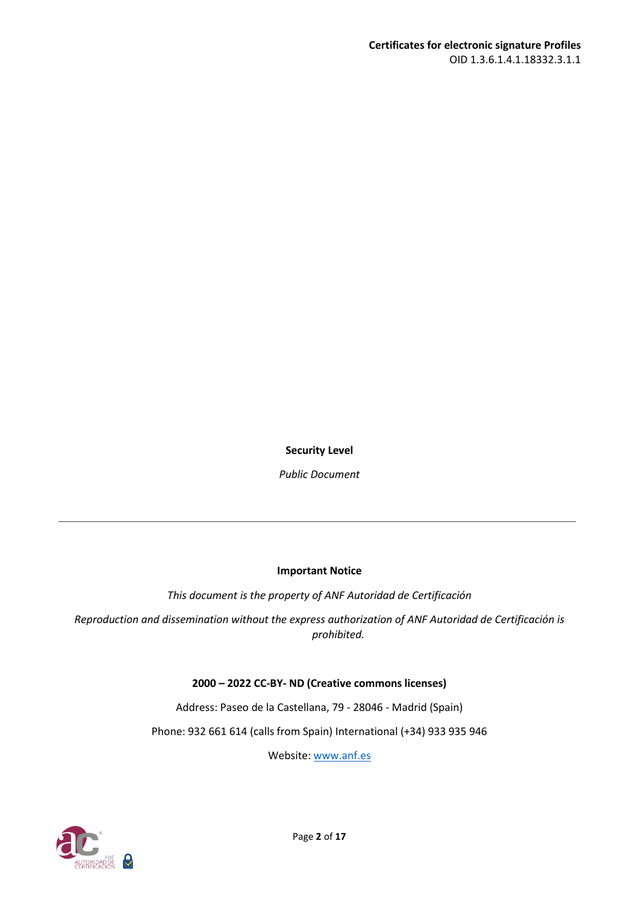**Security Level**

*Public Document*

#### **Important Notice**

*This document is the property of ANF Autoridad de Certificación*

*Reproduction and dissemination without the express authorization of ANF Autoridad de Certificación is prohibited.*

#### **2000 – 2022 CC-BY- ND (Creative commons licenses)**

Address: Paseo de la Castellana, 79 - 28046 - Madrid (Spain)

Phone: 932 661 614 (calls from Spain) International (+34) 933 935 946

Website: [www.anf.es](http://www.anf.es/)

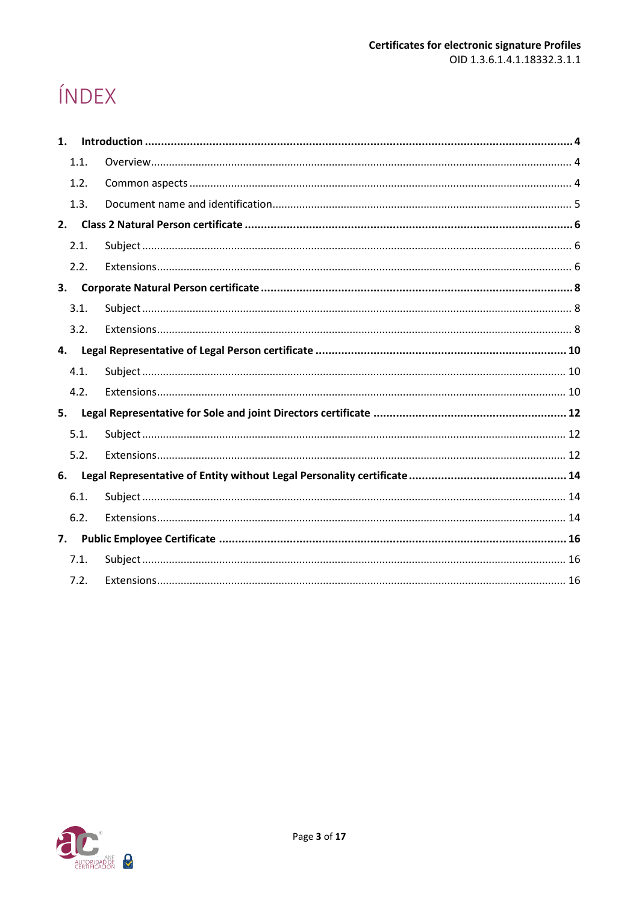# ÍNDEX

| 1. |      |  |
|----|------|--|
|    | 1.1. |  |
|    | 1.2. |  |
|    | 1.3. |  |
|    |      |  |
|    | 2.1. |  |
|    | 2.2. |  |
| 3. |      |  |
|    | 3.1. |  |
|    | 3.2. |  |
|    |      |  |
|    | 4.1. |  |
|    | 4.2. |  |
|    |      |  |
|    | 5.1. |  |
|    | 5.2. |  |
|    |      |  |
|    | 6.1. |  |
|    | 6.2. |  |
| 7. |      |  |
|    | 7.1. |  |
|    | 7.2. |  |

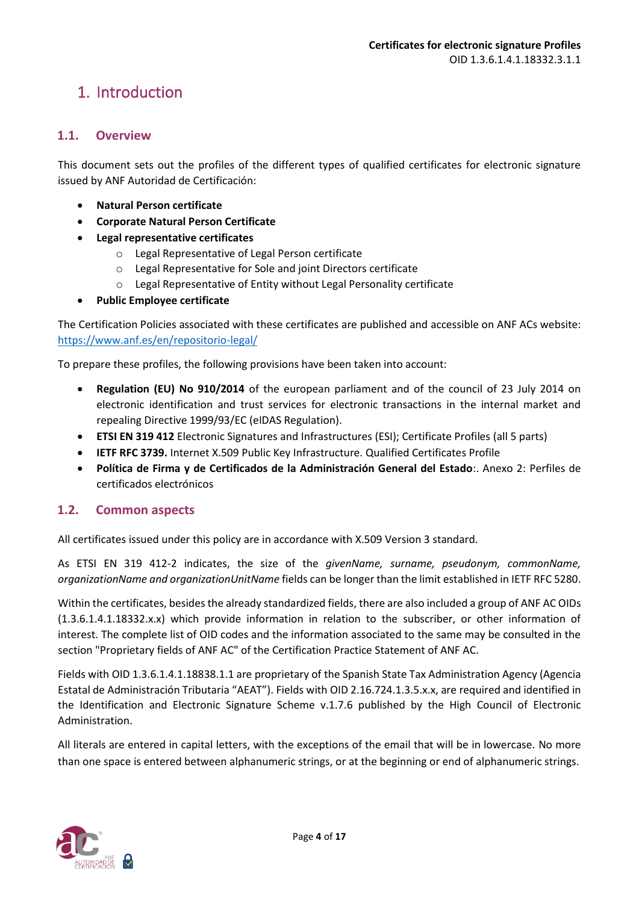### <span id="page-3-0"></span>1. Introduction

#### <span id="page-3-1"></span>**1.1. Overview**

This document sets out the profiles of the different types of qualified certificates for electronic signature issued by ANF Autoridad de Certificación:

- **Natural Person certificate**
- **Corporate Natural Person Certificate**
- **Legal representative certificates**
	- o Legal Representative of Legal Person certificate
	- o Legal Representative for Sole and joint Directors certificate
	- o Legal Representative of Entity without Legal Personality certificate
- **Public Employee certificate**

The Certification Policies associated with these certificates are published and accessible on ANF ACs website: <https://www.anf.es/en/repositorio-legal/>

To prepare these profiles, the following provisions have been taken into account:

- **Regulation (EU) No 910/2014** of the european parliament and of the council of 23 July 2014 on electronic identification and trust services for electronic transactions in the internal market and repealing Directive 1999/93/EC (eIDAS Regulation).
- **ETSI EN 319 412** Electronic Signatures and Infrastructures (ESI); Certificate Profiles (all 5 parts)
- **IETF RFC 3739.** Internet X.509 Public Key Infrastructure. Qualified Certificates Profile
- **Política de Firma y de Certificados de la Administración General del Estado**:. Anexo 2: Perfiles de certificados electrónicos

#### <span id="page-3-2"></span>**1.2. Common aspects**

All certificates issued under this policy are in accordance with X.509 Version 3 standard.

As ETSI EN 319 412-2 indicates, the size of the *givenName, surname, pseudonym, commonName, organizationName and organizationUnitName* fields can be longer than the limit established in IETF RFC 5280.

Within the certificates, besides the already standardized fields, there are also included a group of ANF AC OIDs (1.3.6.1.4.1.18332.x.x) which provide information in relation to the subscriber, or other information of interest. The complete list of OID codes and the information associated to the same may be consulted in the section "Proprietary fields of ANF AC" of the Certification Practice Statement of ANF AC.

Fields with OID 1.3.6.1.4.1.18838.1.1 are proprietary of the Spanish State Tax Administration Agency (Agencia Estatal de Administración Tributaria "AEAT"). Fields with OID 2.16.724.1.3.5.x.x, are required and identified in the Identification and Electronic Signature Scheme v.1.7.6 published by the High Council of Electronic Administration.

All literals are entered in capital letters, with the exceptions of the email that will be in lowercase. No more than one space is entered between alphanumeric strings, or at the beginning or end of alphanumeric strings.

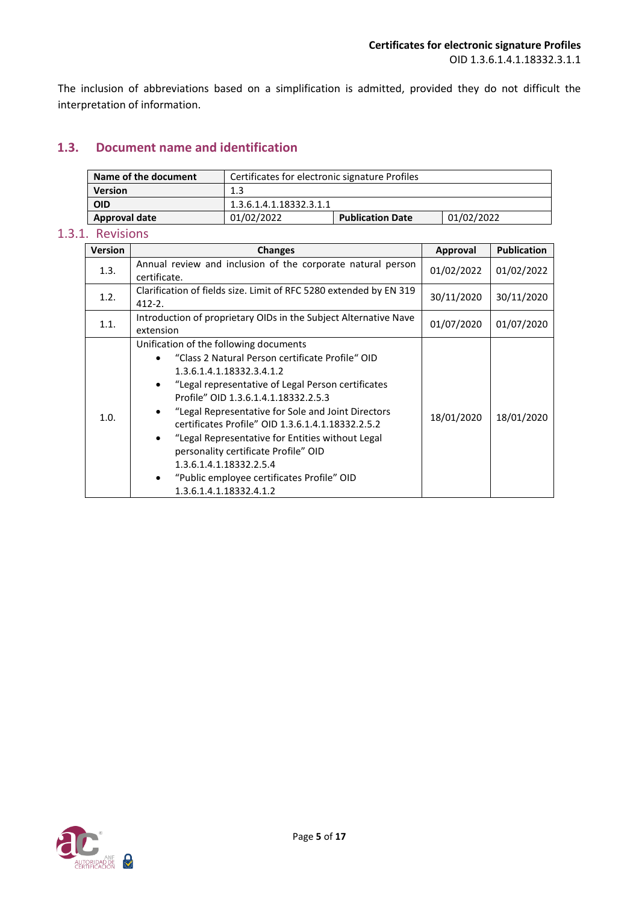The inclusion of abbreviations based on a simplification is admitted, provided they do not difficult the interpretation of information.

#### <span id="page-4-0"></span>**1.3. Document name and identification**

| Name of the document | Certificates for electronic signature Profiles |                         |            |
|----------------------|------------------------------------------------|-------------------------|------------|
| <b>Version</b>       | 1.3                                            |                         |            |
| OID                  | 1.3.6.1.4.1.18332.3.1.1                        |                         |            |
| <b>Approval date</b> | 01/02/2022                                     | <b>Publication Date</b> | 01/02/2022 |

#### 1.3.1. Revisions

| <b>Version</b> | <b>Changes</b>                                                                                                                                                                                                                                                                                                                                                                                                                                                                                                                                 | Approval   | <b>Publication</b> |
|----------------|------------------------------------------------------------------------------------------------------------------------------------------------------------------------------------------------------------------------------------------------------------------------------------------------------------------------------------------------------------------------------------------------------------------------------------------------------------------------------------------------------------------------------------------------|------------|--------------------|
| 1.3.           | Annual review and inclusion of the corporate natural person<br>certificate.                                                                                                                                                                                                                                                                                                                                                                                                                                                                    | 01/02/2022 | 01/02/2022         |
| 1.2.           | Clarification of fields size. Limit of RFC 5280 extended by EN 319<br>30/11/2020<br>30/11/2020<br>$412 - 2$ .                                                                                                                                                                                                                                                                                                                                                                                                                                  |            |                    |
| 1.1.           | Introduction of proprietary OIDs in the Subject Alternative Nave<br>extension                                                                                                                                                                                                                                                                                                                                                                                                                                                                  | 01/07/2020 | 01/07/2020         |
| 1.0.           | Unification of the following documents<br>"Class 2 Natural Person certificate Profile" OID<br>1.3.6.1.4.1.18332.3.4.1.2<br>"Legal representative of Legal Person certificates<br>Profile" OID 1.3.6.1.4.1.18332.2.5.3<br>"Legal Representative for Sole and Joint Directors"<br>certificates Profile" OID 1.3.6.1.4.1.18332.2.5.2<br>"Legal Representative for Entities without Legal<br>$\bullet$<br>personality certificate Profile" OID<br>1.3.6.1.4.1.18332.2.5.4<br>"Public employee certificates Profile" OID<br>1.3.6.1.4.1.18332.4.1.2 | 18/01/2020 | 18/01/2020         |

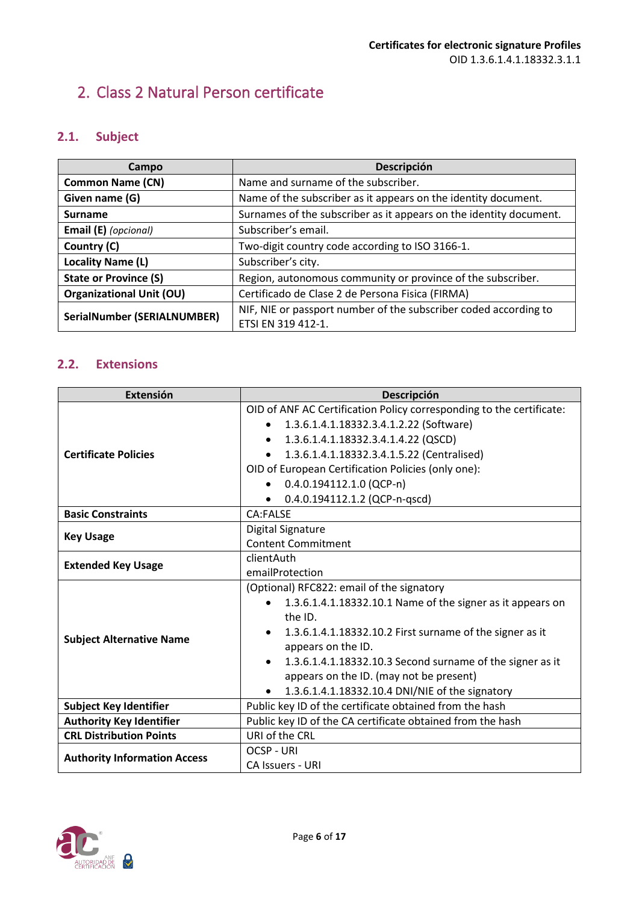## <span id="page-5-0"></span>2. Class 2 Natural Person certificate

### <span id="page-5-1"></span>**2.1. Subject**

| Campo                              | Descripción                                                        |
|------------------------------------|--------------------------------------------------------------------|
| <b>Common Name (CN)</b>            | Name and surname of the subscriber.                                |
| Given name (G)                     | Name of the subscriber as it appears on the identity document.     |
| <b>Surname</b>                     | Surnames of the subscriber as it appears on the identity document. |
| Email (E) (opcional)               | Subscriber's email.                                                |
| Country (C)                        | Two-digit country code according to ISO 3166-1.                    |
| Locality Name (L)                  | Subscriber's city.                                                 |
| <b>State or Province (S)</b>       | Region, autonomous community or province of the subscriber.        |
| <b>Organizational Unit (OU)</b>    | Certificado de Clase 2 de Persona Fisica (FIRMA)                   |
| <b>SerialNumber (SERIALNUMBER)</b> | NIF, NIE or passport number of the subscriber coded according to   |
|                                    | ETSI EN 319 412-1.                                                 |

<span id="page-5-2"></span>

| <b>Extensión</b>                    | <b>Descripción</b>                                                   |
|-------------------------------------|----------------------------------------------------------------------|
|                                     | OID of ANF AC Certification Policy corresponding to the certificate: |
|                                     | 1.3.6.1.4.1.18332.3.4.1.2.22 (Software)<br>$\bullet$                 |
|                                     | 1.3.6.1.4.1.18332.3.4.1.4.22 (QSCD)<br>$\bullet$                     |
| <b>Certificate Policies</b>         | 1.3.6.1.4.1.18332.3.4.1.5.22 (Centralised)                           |
|                                     | OID of European Certification Policies (only one):                   |
|                                     | $0.4.0.194112.1.0$ (QCP-n)                                           |
|                                     | 0.4.0.194112.1.2 (QCP-n-qscd)                                        |
| <b>Basic Constraints</b>            | CA:FALSE                                                             |
|                                     | <b>Digital Signature</b>                                             |
| <b>Key Usage</b>                    | <b>Content Commitment</b>                                            |
| <b>Extended Key Usage</b>           | clientAuth                                                           |
|                                     | emailProtection                                                      |
|                                     | (Optional) RFC822: email of the signatory                            |
|                                     | 1.3.6.1.4.1.18332.10.1 Name of the signer as it appears on           |
|                                     | the ID.                                                              |
|                                     | 1.3.6.1.4.1.18332.10.2 First surname of the signer as it             |
| <b>Subject Alternative Name</b>     | appears on the ID.                                                   |
|                                     | 1.3.6.1.4.1.18332.10.3 Second surname of the signer as it            |
|                                     | appears on the ID. (may not be present)                              |
|                                     | 1.3.6.1.4.1.18332.10.4 DNI/NIE of the signatory                      |
| <b>Subject Key Identifier</b>       | Public key ID of the certificate obtained from the hash              |
| <b>Authority Key Identifier</b>     | Public key ID of the CA certificate obtained from the hash           |
| <b>CRL Distribution Points</b>      | URI of the CRL                                                       |
|                                     | <b>OCSP - URI</b>                                                    |
| <b>Authority Information Access</b> | <b>CA Issuers - URI</b>                                              |

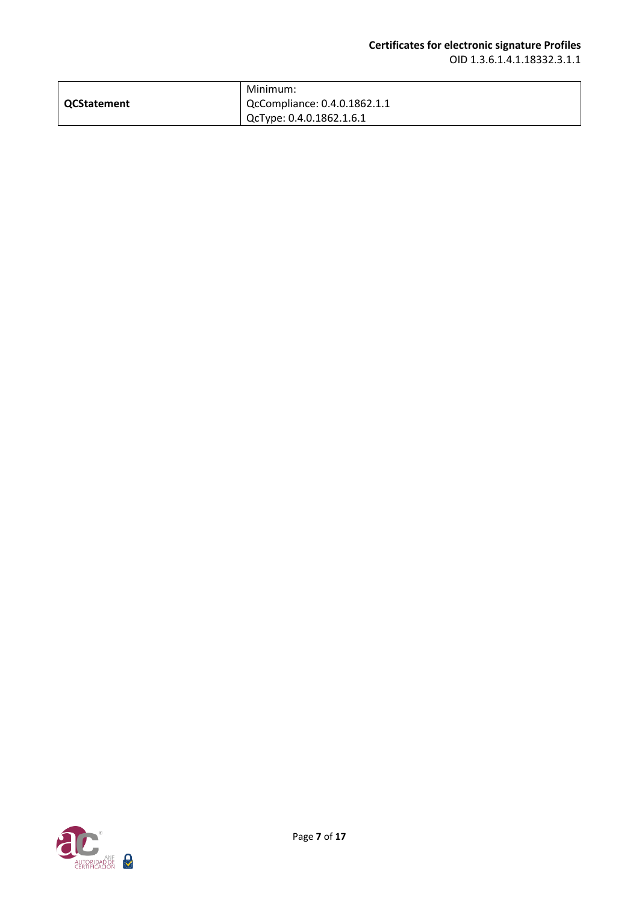|             | Minimum:                     |
|-------------|------------------------------|
| QCStatement | QcCompliance: 0.4.0.1862.1.1 |
|             | QcType: 0.4.0.1862.1.6.1     |

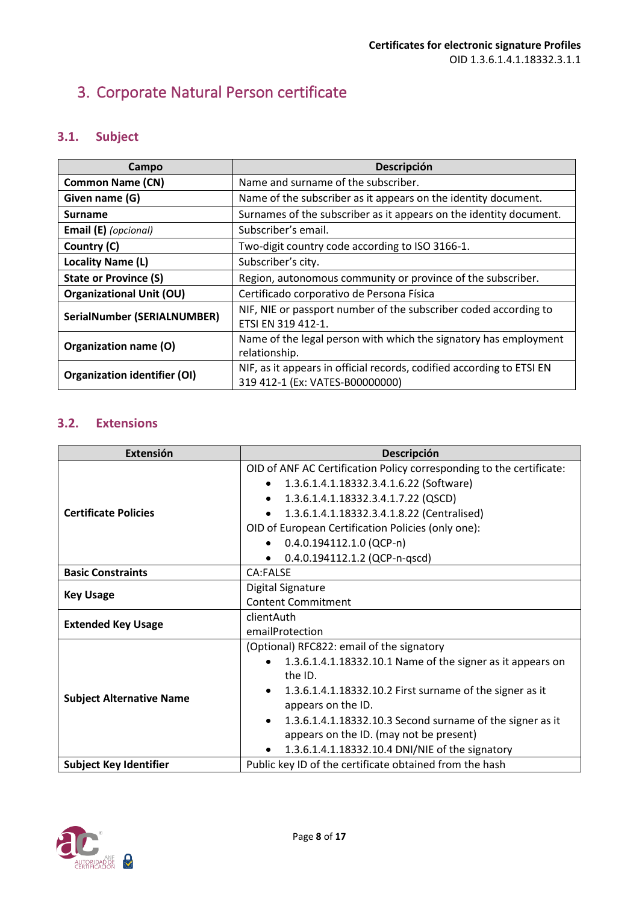# <span id="page-7-0"></span>3. Corporate Natural Person certificate

### <span id="page-7-1"></span>**3.1. Subject**

| Campo                               | Descripción                                                           |
|-------------------------------------|-----------------------------------------------------------------------|
| <b>Common Name (CN)</b>             | Name and surname of the subscriber.                                   |
| Given name (G)                      | Name of the subscriber as it appears on the identity document.        |
| <b>Surname</b>                      | Surnames of the subscriber as it appears on the identity document.    |
| Email (E) (opcional)                | Subscriber's email.                                                   |
| Country (C)                         | Two-digit country code according to ISO 3166-1.                       |
| Locality Name (L)                   | Subscriber's city.                                                    |
| <b>State or Province (S)</b>        | Region, autonomous community or province of the subscriber.           |
| <b>Organizational Unit (OU)</b>     | Certificado corporativo de Persona Física                             |
| <b>SerialNumber (SERIALNUMBER)</b>  | NIF, NIE or passport number of the subscriber coded according to      |
|                                     | ETSI EN 319 412-1.                                                    |
| Organization name (O)               | Name of the legal person with which the signatory has employment      |
|                                     | relationship.                                                         |
| <b>Organization identifier (OI)</b> | NIF, as it appears in official records, codified according to ETSI EN |
|                                     | 319 412-1 (Ex: VATES-B00000000)                                       |

<span id="page-7-2"></span>

| <b>Extensión</b>                | Descripción                                                          |
|---------------------------------|----------------------------------------------------------------------|
|                                 | OID of ANF AC Certification Policy corresponding to the certificate: |
|                                 | 1.3.6.1.4.1.18332.3.4.1.6.22 (Software)<br>$\bullet$                 |
|                                 | 1.3.6.1.4.1.18332.3.4.1.7.22 (QSCD)<br>٠                             |
| <b>Certificate Policies</b>     | 1.3.6.1.4.1.18332.3.4.1.8.22 (Centralised)                           |
|                                 | OID of European Certification Policies (only one):                   |
|                                 | $0.4.0.194112.1.0$ (QCP-n)                                           |
|                                 | 0.4.0.194112.1.2 (QCP-n-qscd)                                        |
| <b>Basic Constraints</b>        | CA:FALSE                                                             |
| <b>Key Usage</b>                | Digital Signature                                                    |
|                                 | <b>Content Commitment</b>                                            |
| <b>Extended Key Usage</b>       | clientAuth                                                           |
|                                 | emailProtection                                                      |
|                                 | (Optional) RFC822: email of the signatory                            |
|                                 | 1.3.6.1.4.1.18332.10.1 Name of the signer as it appears on           |
|                                 | the ID.                                                              |
| <b>Subject Alternative Name</b> | 1.3.6.1.4.1.18332.10.2 First surname of the signer as it             |
|                                 | appears on the ID.                                                   |
|                                 | 1.3.6.1.4.1.18332.10.3 Second surname of the signer as it            |
|                                 | appears on the ID. (may not be present)                              |
|                                 | 1.3.6.1.4.1.18332.10.4 DNI/NIE of the signatory<br>٠                 |
| <b>Subject Key Identifier</b>   | Public key ID of the certificate obtained from the hash              |

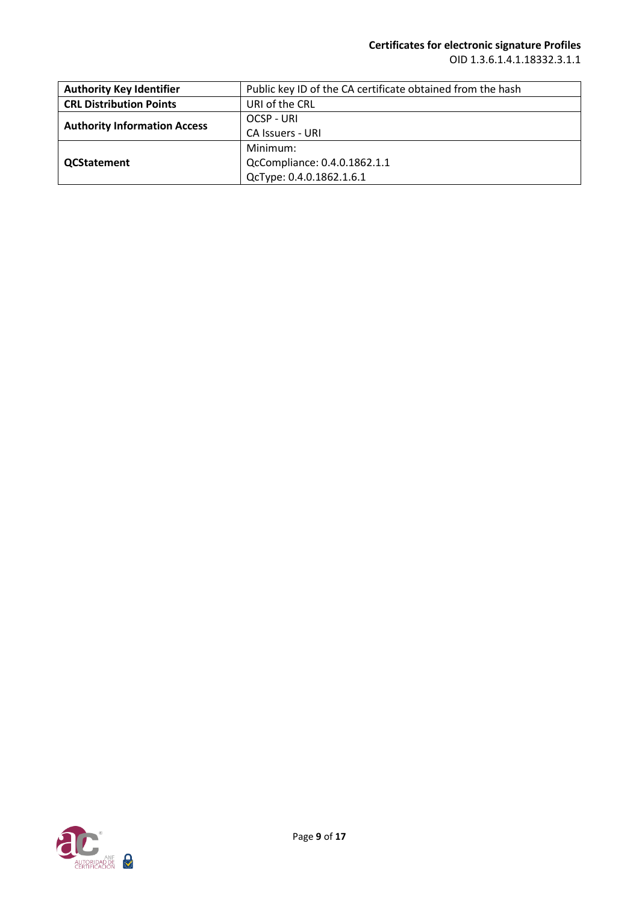| <b>Authority Key Identifier</b>     | Public key ID of the CA certificate obtained from the hash |
|-------------------------------------|------------------------------------------------------------|
| <b>CRL Distribution Points</b>      | URI of the CRL                                             |
|                                     | OCSP - URI                                                 |
| <b>Authority Information Access</b> | <b>CA Issuers - URI</b>                                    |
|                                     | Minimum:                                                   |
| <b>QCStatement</b>                  | QcCompliance: 0.4.0.1862.1.1                               |
|                                     | QcType: 0.4.0.1862.1.6.1                                   |

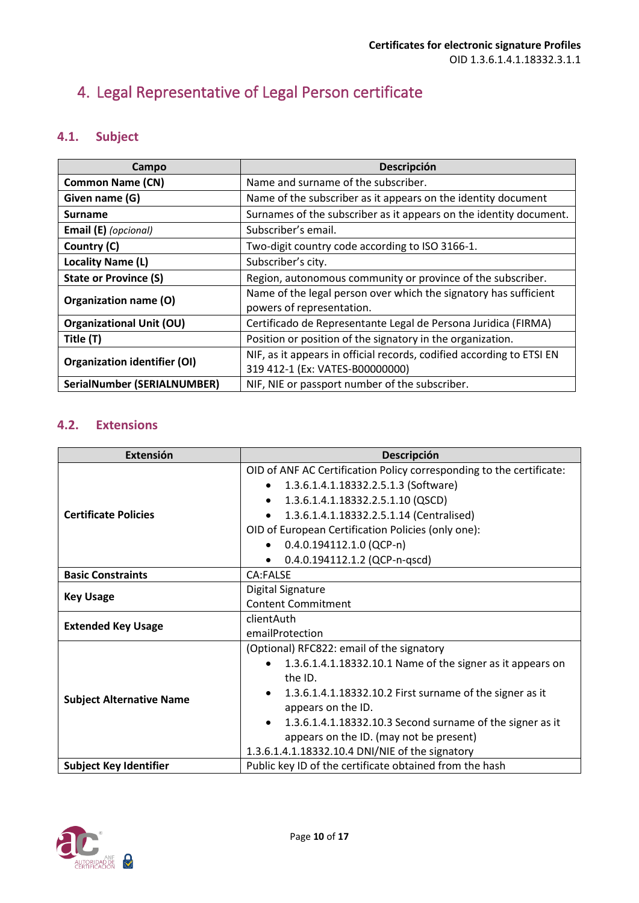# <span id="page-9-0"></span>4. Legal Representative of Legal Person certificate

### <span id="page-9-1"></span>**4.1. Subject**

| Campo                               | Descripción                                                           |
|-------------------------------------|-----------------------------------------------------------------------|
| <b>Common Name (CN)</b>             | Name and surname of the subscriber.                                   |
| Given name (G)                      | Name of the subscriber as it appears on the identity document         |
| <b>Surname</b>                      | Surnames of the subscriber as it appears on the identity document.    |
| Email (E) (opcional)                | Subscriber's email.                                                   |
| Country (C)                         | Two-digit country code according to ISO 3166-1.                       |
| Locality Name (L)                   | Subscriber's city.                                                    |
| <b>State or Province (S)</b>        | Region, autonomous community or province of the subscriber.           |
| Organization name (O)               | Name of the legal person over which the signatory has sufficient      |
|                                     | powers of representation.                                             |
| <b>Organizational Unit (OU)</b>     | Certificado de Representante Legal de Persona Juridica (FIRMA)        |
| Title (T)                           | Position or position of the signatory in the organization.            |
| <b>Organization identifier (OI)</b> | NIF, as it appears in official records, codified according to ETSI EN |
|                                     | 319 412-1 (Ex: VATES-B00000000)                                       |
| SerialNumber (SERIALNUMBER)         | NIF, NIE or passport number of the subscriber.                        |

<span id="page-9-2"></span>

| Extensión                       | Descripción                                                          |
|---------------------------------|----------------------------------------------------------------------|
|                                 | OID of ANF AC Certification Policy corresponding to the certificate: |
|                                 | 1.3.6.1.4.1.18332.2.5.1.3 (Software)<br>$\bullet$                    |
|                                 | 1.3.6.1.4.1.18332.2.5.1.10 (QSCD)<br>$\bullet$                       |
| <b>Certificate Policies</b>     | 1.3.6.1.4.1.18332.2.5.1.14 (Centralised)<br>$\bullet$                |
|                                 | OID of European Certification Policies (only one):                   |
|                                 | $0.4.0.194112.1.0$ (QCP-n)                                           |
|                                 | 0.4.0.194112.1.2 (QCP-n-qscd)<br>$\bullet$                           |
| <b>Basic Constraints</b>        | <b>CA:FALSE</b>                                                      |
| <b>Key Usage</b>                | Digital Signature                                                    |
|                                 | <b>Content Commitment</b>                                            |
| <b>Extended Key Usage</b>       | clientAuth                                                           |
|                                 | emailProtection                                                      |
|                                 | (Optional) RFC822: email of the signatory                            |
|                                 | 1.3.6.1.4.1.18332.10.1 Name of the signer as it appears on           |
|                                 | the ID.                                                              |
| <b>Subject Alternative Name</b> | 1.3.6.1.4.1.18332.10.2 First surname of the signer as it             |
|                                 | appears on the ID.                                                   |
|                                 | 1.3.6.1.4.1.18332.10.3 Second surname of the signer as it            |
|                                 | appears on the ID. (may not be present)                              |
|                                 | 1.3.6.1.4.1.18332.10.4 DNI/NIE of the signatory                      |
| <b>Subject Key Identifier</b>   | Public key ID of the certificate obtained from the hash              |

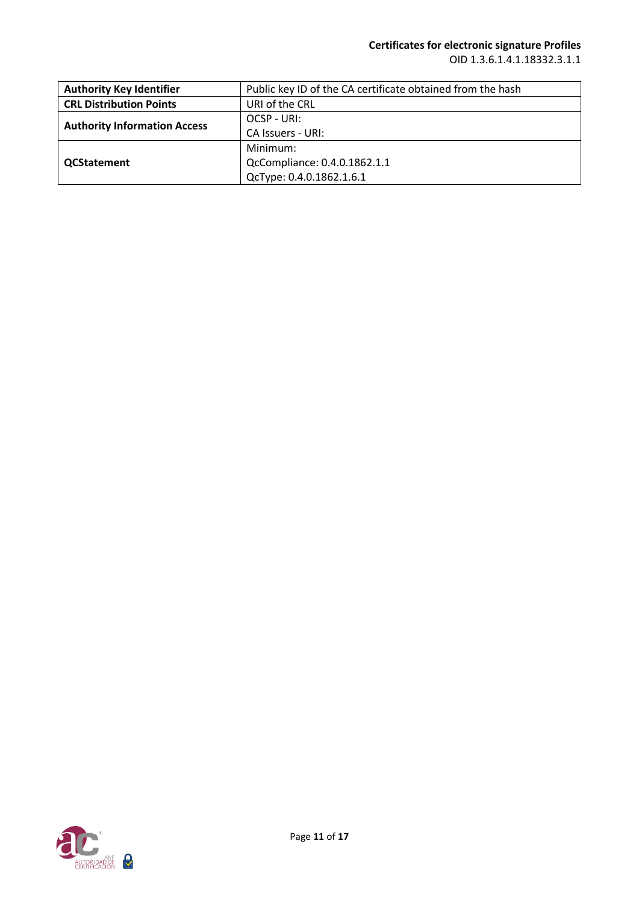| <b>Authority Key Identifier</b>     | Public key ID of the CA certificate obtained from the hash |
|-------------------------------------|------------------------------------------------------------|
| <b>CRL Distribution Points</b>      | URI of the CRL                                             |
|                                     | OCSP - URI:                                                |
| <b>Authority Information Access</b> | CA Issuers - URI:                                          |
|                                     | Minimum:                                                   |
| <b>QCStatement</b>                  | QcCompliance: 0.4.0.1862.1.1                               |
|                                     | QcType: 0.4.0.1862.1.6.1                                   |

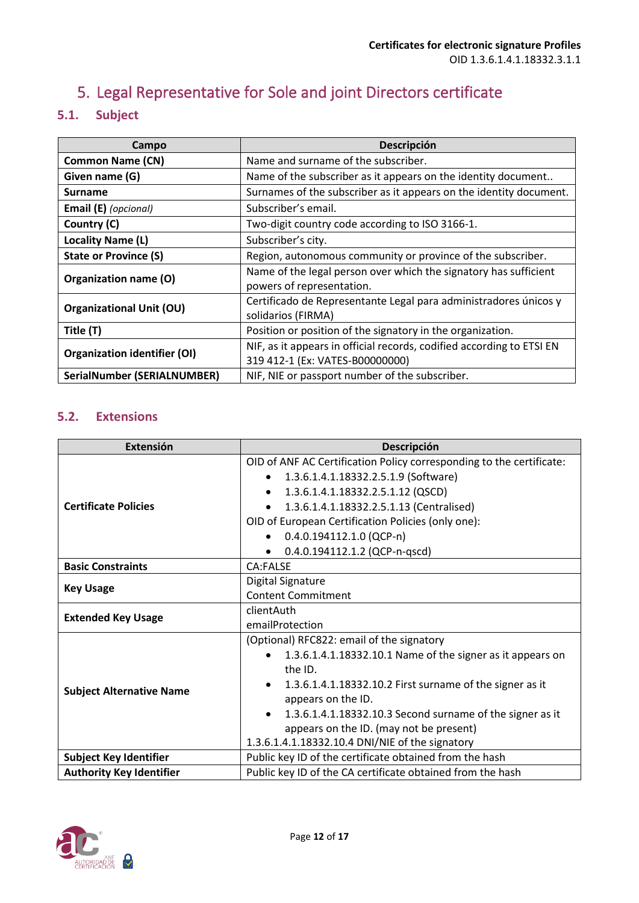# <span id="page-11-0"></span>5. Legal Representative for Sole and joint Directors certificate

### <span id="page-11-1"></span>**5.1. Subject**

| Campo                               | Descripción                                                                                              |
|-------------------------------------|----------------------------------------------------------------------------------------------------------|
| <b>Common Name (CN)</b>             | Name and surname of the subscriber.                                                                      |
| Given name (G)                      | Name of the subscriber as it appears on the identity document                                            |
| <b>Surname</b>                      | Surnames of the subscriber as it appears on the identity document.                                       |
| Email (E) (opcional)                | Subscriber's email.                                                                                      |
| Country (C)                         | Two-digit country code according to ISO 3166-1.                                                          |
| Locality Name (L)                   | Subscriber's city.                                                                                       |
| <b>State or Province (S)</b>        | Region, autonomous community or province of the subscriber.                                              |
| Organization name (O)               | Name of the legal person over which the signatory has sufficient<br>powers of representation.            |
| <b>Organizational Unit (OU)</b>     | Certificado de Representante Legal para administradores únicos y<br>solidarios (FIRMA)                   |
| Title (T)                           | Position or position of the signatory in the organization.                                               |
| <b>Organization identifier (OI)</b> | NIF, as it appears in official records, codified according to ETSI EN<br>319 412-1 (Ex: VATES-B00000000) |
| <b>SerialNumber (SERIALNUMBER)</b>  | NIF, NIE or passport number of the subscriber.                                                           |

<span id="page-11-2"></span>

| Extensión                       | Descripción                                                            |
|---------------------------------|------------------------------------------------------------------------|
|                                 | OID of ANF AC Certification Policy corresponding to the certificate:   |
|                                 | 1.3.6.1.4.1.18332.2.5.1.9 (Software)                                   |
|                                 | 1.3.6.1.4.1.18332.2.5.1.12 (QSCD)<br>$\bullet$                         |
| <b>Certificate Policies</b>     | 1.3.6.1.4.1.18332.2.5.1.13 (Centralised)                               |
|                                 | OID of European Certification Policies (only one):                     |
|                                 | $0.4.0.194112.1.0$ (QCP-n)                                             |
|                                 | 0.4.0.194112.1.2 (QCP-n-qscd)                                          |
| <b>Basic Constraints</b>        | CA:FALSE                                                               |
| <b>Key Usage</b>                | Digital Signature                                                      |
|                                 | <b>Content Commitment</b>                                              |
| <b>Extended Key Usage</b>       | clientAuth                                                             |
|                                 | emailProtection                                                        |
|                                 | (Optional) RFC822: email of the signatory                              |
|                                 | 1.3.6.1.4.1.18332.10.1 Name of the signer as it appears on             |
| <b>Subject Alternative Name</b> | the ID.                                                                |
|                                 | 1.3.6.1.4.1.18332.10.2 First surname of the signer as it               |
|                                 | appears on the ID.                                                     |
|                                 | 1.3.6.1.4.1.18332.10.3 Second surname of the signer as it<br>$\bullet$ |
|                                 | appears on the ID. (may not be present)                                |
|                                 | 1.3.6.1.4.1.18332.10.4 DNI/NIE of the signatory                        |
| <b>Subject Key Identifier</b>   | Public key ID of the certificate obtained from the hash                |
| <b>Authority Key Identifier</b> | Public key ID of the CA certificate obtained from the hash             |

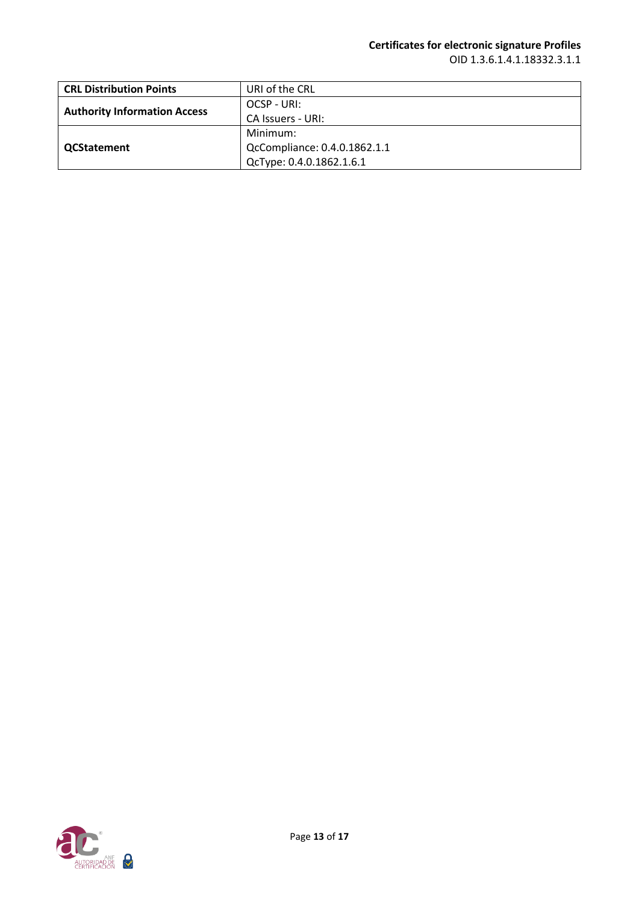## **Certificates for electronic signature Profiles**

OID 1.3.6.1.4.1.18332.3.1.1

| <b>CRL Distribution Points</b>      | URI of the CRL               |
|-------------------------------------|------------------------------|
| <b>Authority Information Access</b> | OCSP - URI:                  |
|                                     | CA Issuers - URI:            |
| <b>QCStatement</b>                  | Minimum:                     |
|                                     | QcCompliance: 0.4.0.1862.1.1 |
|                                     | QcType: 0.4.0.1862.1.6.1     |

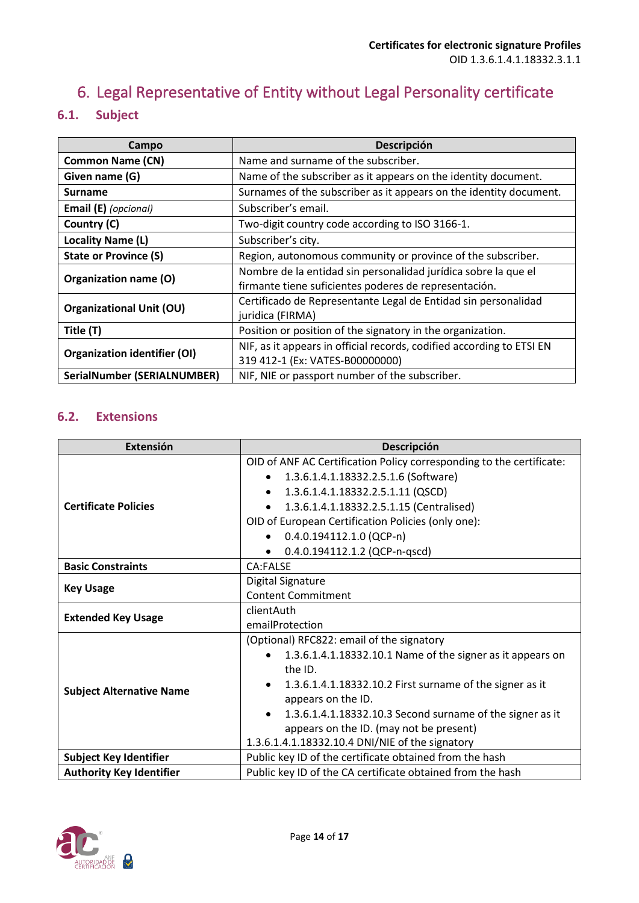# <span id="page-13-0"></span>6. Legal Representative of Entity without Legal Personality certificate

### <span id="page-13-1"></span>**6.1. Subject**

| Campo                               | Descripción                                                                                                             |
|-------------------------------------|-------------------------------------------------------------------------------------------------------------------------|
| <b>Common Name (CN)</b>             | Name and surname of the subscriber.                                                                                     |
| Given name (G)                      | Name of the subscriber as it appears on the identity document.                                                          |
| <b>Surname</b>                      | Surnames of the subscriber as it appears on the identity document.                                                      |
| Email (E) (opcional)                | Subscriber's email.                                                                                                     |
| Country (C)                         | Two-digit country code according to ISO 3166-1.                                                                         |
| <b>Locality Name (L)</b>            | Subscriber's city.                                                                                                      |
| <b>State or Province (S)</b>        | Region, autonomous community or province of the subscriber.                                                             |
| Organization name (O)               | Nombre de la entidad sin personalidad jurídica sobre la que el<br>firmante tiene suficientes poderes de representación. |
| <b>Organizational Unit (OU)</b>     | Certificado de Representante Legal de Entidad sin personalidad<br>juridica (FIRMA)                                      |
| Title (T)                           | Position or position of the signatory in the organization.                                                              |
| <b>Organization identifier (OI)</b> | NIF, as it appears in official records, codified according to ETSI EN<br>319 412-1 (Ex: VATES-B00000000)                |
| <b>SerialNumber (SERIALNUMBER)</b>  | NIF, NIE or passport number of the subscriber.                                                                          |

<span id="page-13-2"></span>

| <b>Extensión</b>                | Descripción                                                          |
|---------------------------------|----------------------------------------------------------------------|
|                                 | OID of ANF AC Certification Policy corresponding to the certificate: |
|                                 | 1.3.6.1.4.1.18332.2.5.1.6 (Software)                                 |
|                                 | 1.3.6.1.4.1.18332.2.5.1.11 (QSCD)<br>$\bullet$                       |
| <b>Certificate Policies</b>     | 1.3.6.1.4.1.18332.2.5.1.15 (Centralised)                             |
|                                 | OID of European Certification Policies (only one):                   |
|                                 | $0.4.0.194112.1.0$ (QCP-n)                                           |
|                                 | 0.4.0.194112.1.2 (QCP-n-qscd)<br>$\bullet$                           |
| <b>Basic Constraints</b>        | CA:FALSE                                                             |
| <b>Key Usage</b>                | Digital Signature                                                    |
|                                 | <b>Content Commitment</b>                                            |
| <b>Extended Key Usage</b>       | clientAuth                                                           |
|                                 | emailProtection                                                      |
|                                 | (Optional) RFC822: email of the signatory                            |
|                                 | 1.3.6.1.4.1.18332.10.1 Name of the signer as it appears on           |
|                                 | the ID.                                                              |
| <b>Subject Alternative Name</b> | 1.3.6.1.4.1.18332.10.2 First surname of the signer as it             |
|                                 | appears on the ID.                                                   |
|                                 | 1.3.6.1.4.1.18332.10.3 Second surname of the signer as it            |
|                                 | appears on the ID. (may not be present)                              |
|                                 | 1.3.6.1.4.1.18332.10.4 DNI/NIE of the signatory                      |
| <b>Subject Key Identifier</b>   | Public key ID of the certificate obtained from the hash              |
| <b>Authority Key Identifier</b> | Public key ID of the CA certificate obtained from the hash           |

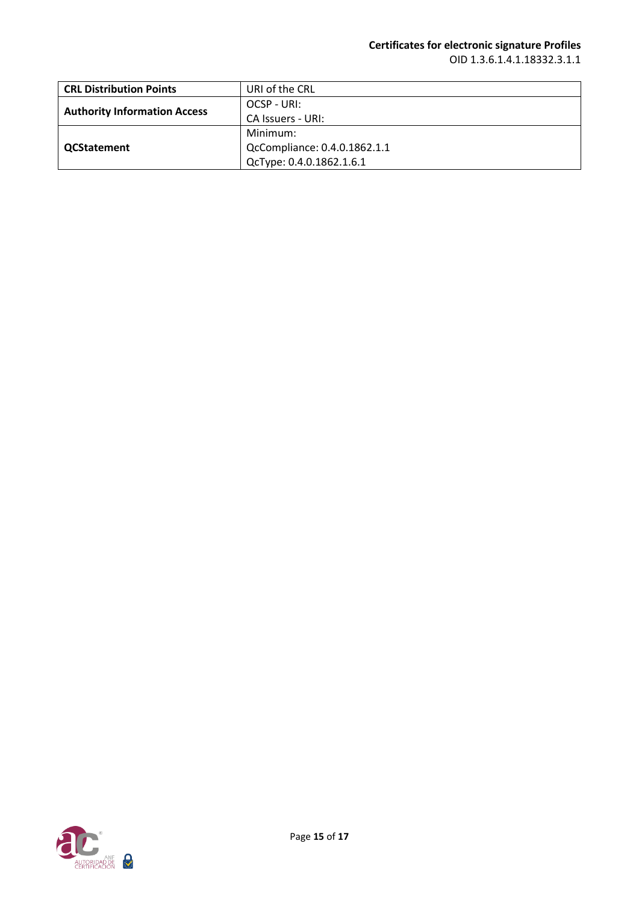## **Certificates for electronic signature Profiles**

OID 1.3.6.1.4.1.18332.3.1.1

| <b>CRL Distribution Points</b>      | URI of the CRL               |
|-------------------------------------|------------------------------|
| <b>Authority Information Access</b> | OCSP - URI:                  |
|                                     | CA Issuers - URI:            |
| <b>QCStatement</b>                  | Minimum:                     |
|                                     | QcCompliance: 0.4.0.1862.1.1 |
|                                     | QcType: 0.4.0.1862.1.6.1     |

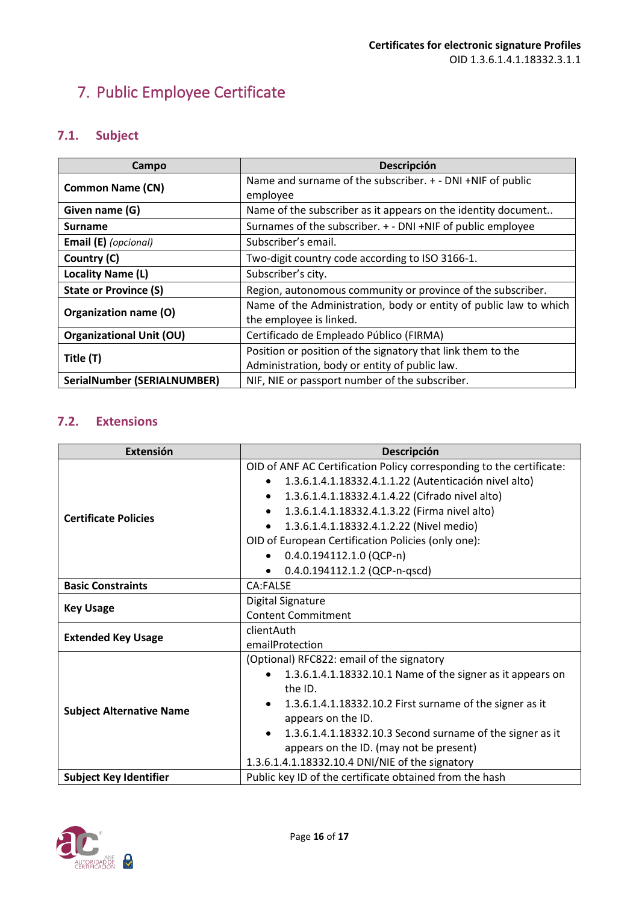# <span id="page-15-0"></span>7. Public Employee Certificate

### <span id="page-15-1"></span>**7.1. Subject**

| Campo                              | Descripción                                                       |
|------------------------------------|-------------------------------------------------------------------|
| <b>Common Name (CN)</b>            | Name and surname of the subscriber. + - DNI +NIF of public        |
|                                    | employee                                                          |
| Given name (G)                     | Name of the subscriber as it appears on the identity document     |
| <b>Surname</b>                     | Surnames of the subscriber. + - DNI +NIF of public employee       |
| Email (E) (opcional)               | Subscriber's email.                                               |
| Country (C)                        | Two-digit country code according to ISO 3166-1.                   |
| Locality Name (L)                  | Subscriber's city.                                                |
| <b>State or Province (S)</b>       | Region, autonomous community or province of the subscriber.       |
| Organization name (O)              | Name of the Administration, body or entity of public law to which |
|                                    | the employee is linked.                                           |
| <b>Organizational Unit (OU)</b>    | Certificado de Empleado Público (FIRMA)                           |
| Title (T)                          | Position or position of the signatory that link them to the       |
|                                    | Administration, body or entity of public law.                     |
| <b>SerialNumber (SERIALNUMBER)</b> | NIF, NIE or passport number of the subscriber.                    |

<span id="page-15-2"></span>

| Extensión                       | Descripción                                                            |
|---------------------------------|------------------------------------------------------------------------|
|                                 | OID of ANF AC Certification Policy corresponding to the certificate:   |
|                                 | 1.3.6.1.4.1.18332.4.1.1.22 (Autenticación nivel alto)<br>$\bullet$     |
|                                 | 1.3.6.1.4.1.18332.4.1.4.22 (Cifrado nivel alto)<br>٠                   |
| <b>Certificate Policies</b>     | 1.3.6.1.4.1.18332.4.1.3.22 (Firma nivel alto)<br>$\bullet$             |
|                                 | 1.3.6.1.4.1.18332.4.1.2.22 (Nivel medio)<br>$\bullet$                  |
|                                 | OID of European Certification Policies (only one):                     |
|                                 | $0.4.0.194112.1.0$ (QCP-n)                                             |
|                                 | 0.4.0.194112.1.2 (QCP-n-qscd)                                          |
| <b>Basic Constraints</b>        | CA:FALSE                                                               |
| <b>Key Usage</b>                | Digital Signature                                                      |
|                                 | <b>Content Commitment</b>                                              |
| <b>Extended Key Usage</b>       | clientAuth                                                             |
|                                 | emailProtection                                                        |
|                                 | (Optional) RFC822: email of the signatory                              |
|                                 | 1.3.6.1.4.1.18332.10.1 Name of the signer as it appears on             |
| <b>Subject Alternative Name</b> | the ID.                                                                |
|                                 | 1.3.6.1.4.1.18332.10.2 First surname of the signer as it               |
|                                 | appears on the ID.                                                     |
|                                 | 1.3.6.1.4.1.18332.10.3 Second surname of the signer as it<br>$\bullet$ |
|                                 | appears on the ID. (may not be present)                                |
|                                 | 1.3.6.1.4.1.18332.10.4 DNI/NIE of the signatory                        |
| <b>Subject Key Identifier</b>   | Public key ID of the certificate obtained from the hash                |